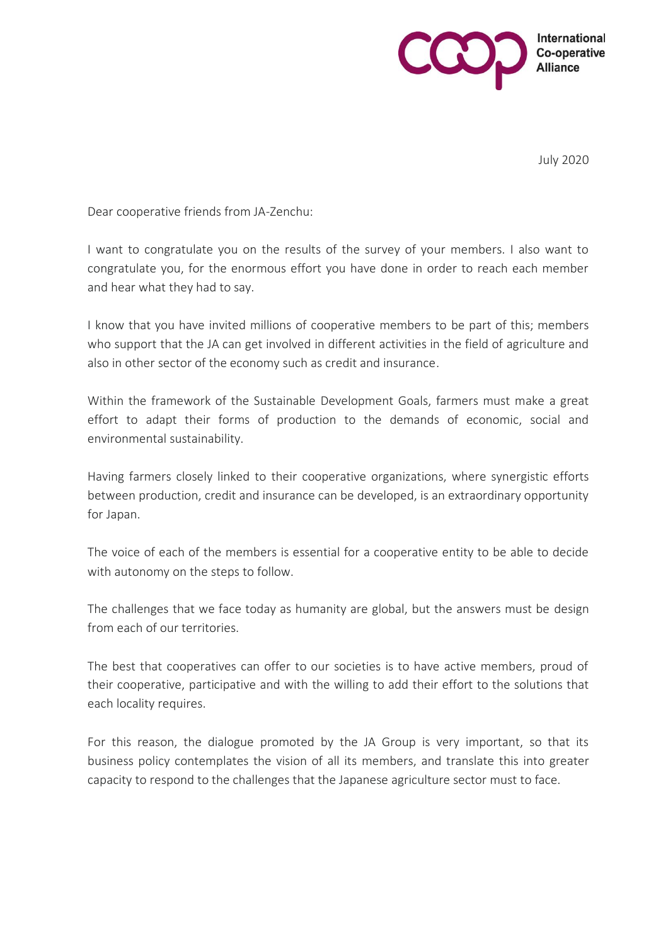

July 2020

Dear cooperative friends from JA-Zenchu:

I want to congratulate you on the results of the survey of your members. I also want to congratulate you, for the enormous effort you have done in order to reach each member and hear what they had to say.

I know that you have invited millions of cooperative members to be part of this; members who support that the JA can get involved in different activities in the field of agriculture and also in other sector of the economy such as credit and insurance.

Within the framework of the Sustainable Development Goals, farmers must make a great effort to adapt their forms of production to the demands of economic, social and environmental sustainability.

Having farmers closely linked to their cooperative organizations, where synergistic efforts between production, credit and insurance can be developed, is an extraordinary opportunity for Japan.

The voice of each of the members is essential for a cooperative entity to be able to decide with autonomy on the steps to follow.

The challenges that we face today as humanity are global, but the answers must be design from each of our territories.

The best that cooperatives can offer to our societies is to have active members, proud of their cooperative, participative and with the willing to add their effort to the solutions that each locality requires.

For this reason, the dialogue promoted by the JA Group is very important, so that its business policy contemplates the vision of all its members, and translate this into greater capacity to respond to the challenges that the Japanese agriculture sector must to face.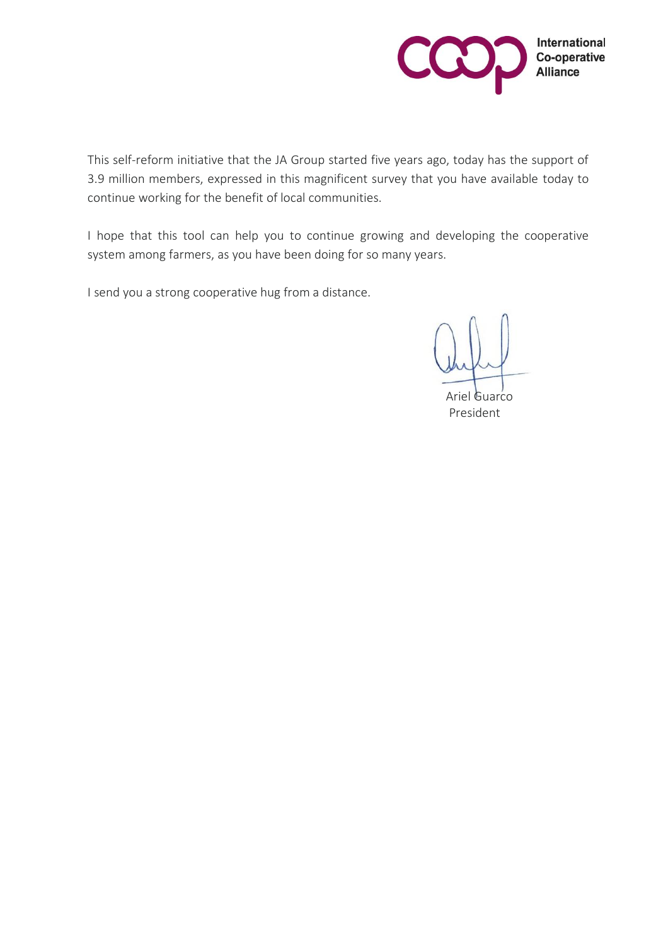

This self-reform initiative that the JA Group started five years ago, today has the support of 3.9 million members, expressed in this magnificent survey that you have available today to continue working for the benefit of local communities.

I hope that this tool can help you to continue growing and developing the cooperative system among farmers, as you have been doing for so many years.

I send you a strong cooperative hug from a distance.

Ariel Guarco President